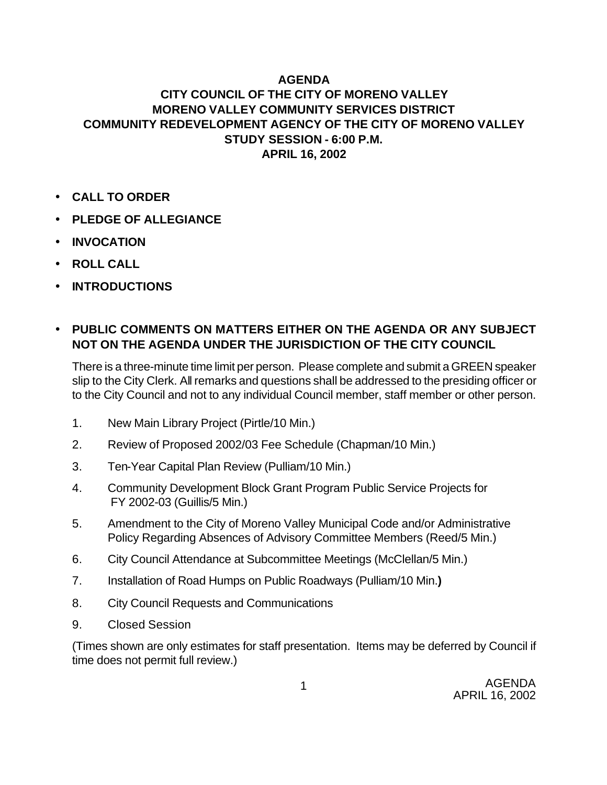## **AGENDA**

## **CITY COUNCIL OF THE CITY OF MORENO VALLEY MORENO VALLEY COMMUNITY SERVICES DISTRICT COMMUNITY REDEVELOPMENT AGENCY OF THE CITY OF MORENO VALLEY STUDY SESSION - 6:00 P.M. APRIL 16, 2002**

- **CALL TO ORDER**
- **PLEDGE OF ALLEGIANCE**
- **INVOCATION**
- **ROLL CALL**
- **INTRODUCTIONS**

## • **PUBLIC COMMENTS ON MATTERS EITHER ON THE AGENDA OR ANY SUBJECT NOT ON THE AGENDA UNDER THE JURISDICTION OF THE CITY COUNCIL**

There is a three-minute time limit per person. Please complete and submit a GREEN speaker slip to the City Clerk. All remarks and questions shall be addressed to the presiding officer or to the City Council and not to any individual Council member, staff member or other person.

- 1. New Main Library Project (Pirtle/10 Min.)
- 2. Review of Proposed 2002/03 Fee Schedule (Chapman/10 Min.)
- 3. Ten-Year Capital Plan Review (Pulliam/10 Min.)
- 4. Community Development Block Grant Program Public Service Projects for FY 2002-03 (Guillis/5 Min.)
- 5. Amendment to the City of Moreno Valley Municipal Code and/or Administrative Policy Regarding Absences of Advisory Committee Members (Reed/5 Min.)
- 6. City Council Attendance at Subcommittee Meetings (McClellan/5 Min.)
- 7. Installation of Road Humps on Public Roadways (Pulliam/10 Min.**)**
- 8. City Council Requests and Communications
- 9. Closed Session

(Times shown are only estimates for staff presentation. Items may be deferred by Council if time does not permit full review.)